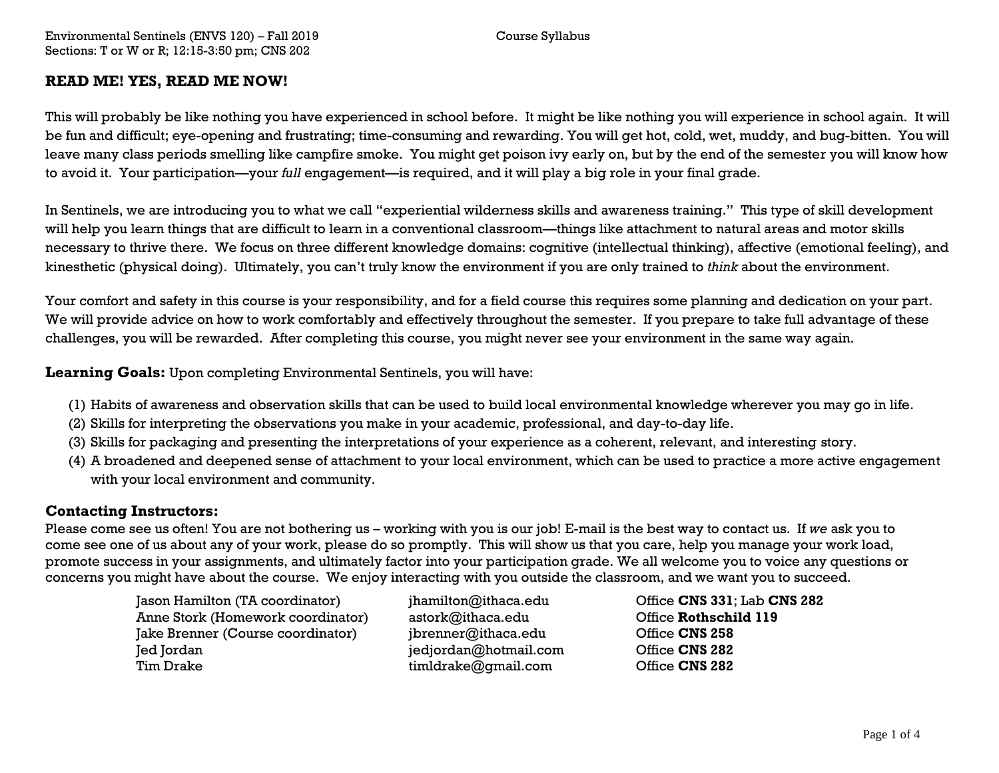## **READ ME! YES, READ ME NOW!**

This will probably be like nothing you have experienced in school before. It might be like nothing you will experience in school again. It will be fun and difficult; eye-opening and frustrating; time-consuming and rewarding. You will get hot, cold, wet, muddy, and bug-bitten. You will leave many class periods smelling like campfire smoke. You might get poison ivy early on, but by the end of the semester you will know how to avoid it. Your participation—your *full* engagement—is required, and it will play a big role in your final grade.

In Sentinels, we are introducing you to what we call "experiential wilderness skills and awareness training." This type of skill development will help you learn things that are difficult to learn in a conventional classroom—things like attachment to natural areas and motor skills necessary to thrive there. We focus on three different knowledge domains: cognitive (intellectual thinking), affective (emotional feeling), and kinesthetic (physical doing). Ultimately, you can't truly know the environment if you are only trained to *think* about the environment.

Your comfort and safety in this course is your responsibility, and for a field course this requires some planning and dedication on your part. We will provide advice on how to work comfortably and effectively throughout the semester. If you prepare to take full advantage of these challenges, you will be rewarded. After completing this course, you might never see your environment in the same way again.

**Learning Goals:** Upon completing Environmental Sentinels, you will have:

- (1) Habits of awareness and observation skills that can be used to build local environmental knowledge wherever you may go in life.
- (2) Skills for interpreting the observations you make in your academic, professional, and day-to-day life.
- (3) Skills for packaging and presenting the interpretations of your experience as a coherent, relevant, and interesting story.
- (4) A broadened and deepened sense of attachment to your local environment, which can be used to practice a more active engagement with your local environment and community.

### **Contacting Instructors:**

Please come see us often! You are not bothering us – working with you is our job! E-mail is the best way to contact us. If *we* ask you to come see one of us about any of your work, please do so promptly. This will show us that you care, help you manage your work load, promote success in your assignments, and ultimately factor into your participation grade. We all welcome you to voice any questions or concerns you might have about the course. We enjoy interacting with you outside the classroom, and we want you to succeed.

> Jason Hamilton (TA coordinator) jhamilton@ithaca.edu Office **CNS 331**; Lab **CNS 282** Anne Stork (Homework coordinator) astork@ithaca.edu Office **Rothschild 119** Jake Brenner (Course coordinator) jbrenner@ithaca.edu Office **CNS 258** Jed Jordan jedjordan@hotmail.com Office **CNS 282** Tim Drake timldrake@gmail.com Office **CNS 282**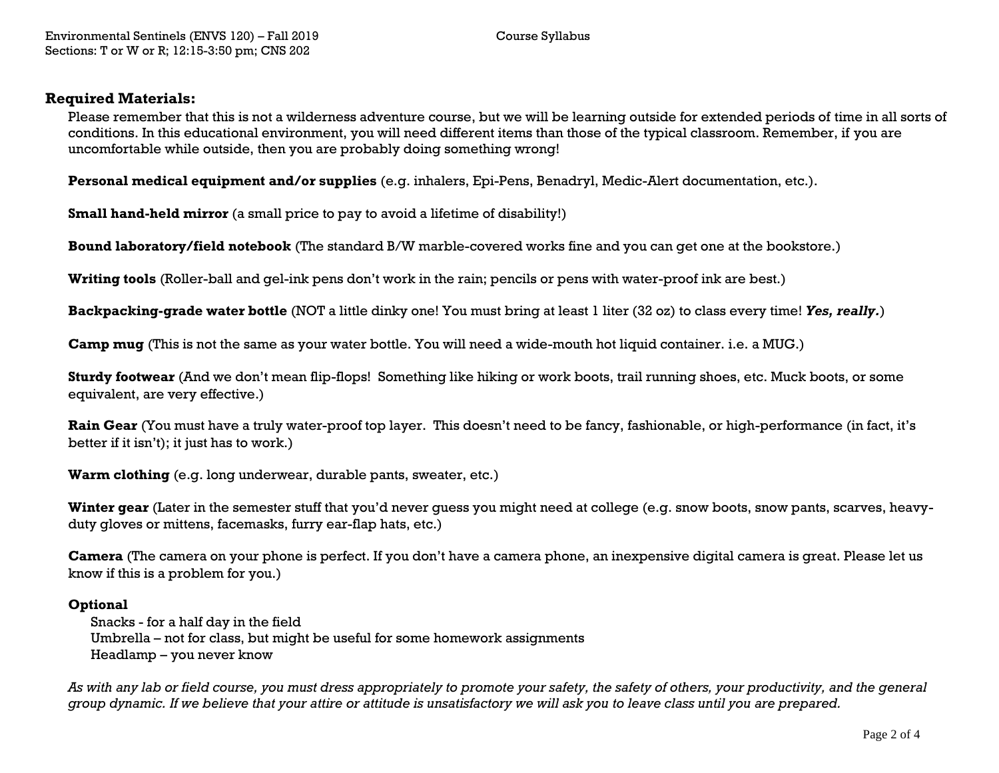#### **Required Materials:**

Please remember that this is not a wilderness adventure course, but we will be learning outside for extended periods of time in all sorts of conditions. In this educational environment, you will need different items than those of the typical classroom. Remember, if you are uncomfortable while outside, then you are probably doing something wrong!

**Personal medical equipment and/or supplies** (e.g. inhalers, Epi-Pens, Benadryl, Medic-Alert documentation, etc.).

**Small hand-held mirror** (a small price to pay to avoid a lifetime of disability!)

**Bound laboratory/field notebook** (The standard B/W marble-covered works fine and you can get one at the bookstore.)

**Writing tools** (Roller-ball and gel-ink pens don't work in the rain; pencils or pens with water-proof ink are best.)

**Backpacking-grade water bottle** (NOT a little dinky one! You must bring at least 1 liter (32 oz) to class every time! *Yes, really.*)

**Camp mug** (This is not the same as your water bottle. You will need a wide-mouth hot liquid container. i.e. a MUG.)

**Sturdy footwear** (And we don't mean flip-flops! Something like hiking or work boots, trail running shoes, etc. Muck boots, or some equivalent, are very effective.)

**Rain Gear** (You must have a truly water-proof top layer. This doesn't need to be fancy, fashionable, or high-performance (in fact, it's better if it isn't); it just has to work.)

**Warm clothing** (e.g. long underwear, durable pants, sweater, etc.)

**Winter gear** (Later in the semester stuff that you'd never guess you might need at college (e.g. snow boots, snow pants, scarves, heavyduty gloves or mittens, facemasks, furry ear-flap hats, etc.)

**Camera** (The camera on your phone is perfect. If you don't have a camera phone, an inexpensive digital camera is great. Please let us know if this is a problem for you.)

#### **Optional**

Snacks - for a half day in the field Umbrella – not for class, but might be useful for some homework assignments Headlamp – you never know

*As with any lab or field course, you must dress appropriately to promote your safety, the safety of others, your productivity, and the general group dynamic. If we believe that your attire or attitude is unsatisfactory we will ask you to leave class until you are prepared.*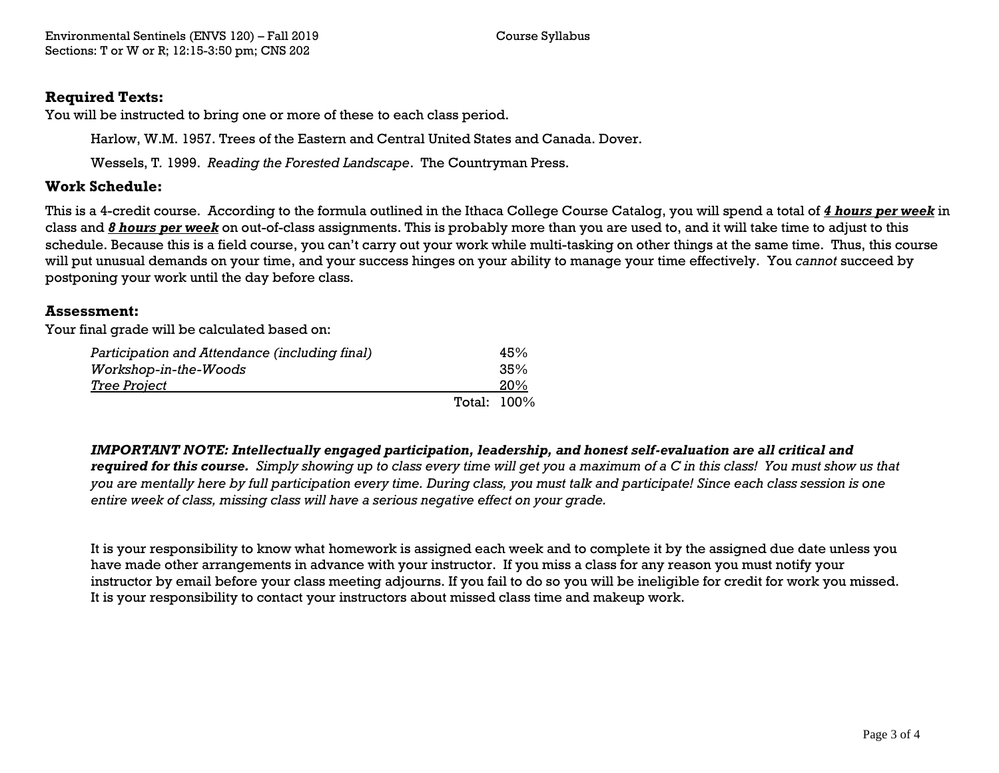## **Required Texts:**

You will be instructed to bring one or more of these to each class period.

Harlow, W.M. 1957. Trees of the Eastern and Central United States and Canada. Dover.

Wessels, T*.* 1999. *Reading the Forested Landscape*. The Countryman Press.

## **Work Schedule:**

This is a 4-credit course. According to the formula outlined in the Ithaca College Course Catalog, you will spend a total of *4 hours per week* in class and *8 hours per week* on out-of-class assignments. This is probably more than you are used to, and it will take time to adjust to this schedule. Because this is a field course, you can't carry out your work while multi-tasking on other things at the same time. Thus, this course will put unusual demands on your time, and your success hinges on your ability to manage your time effectively. You *cannot* succeed by postponing your work until the day before class.

### **Assessment:**

Your final grade will be calculated based on:

| Participation and Attendance (including final) |             | 45% |
|------------------------------------------------|-------------|-----|
| <i>Workshop-in-the-Woods</i>                   |             | 35% |
| <u>Tree Project</u>                            |             | 20% |
|                                                | Total: 100% |     |

*IMPORTANT NOTE: Intellectually engaged participation, leadership, and honest self-evaluation are all critical and required for this course. Simply showing up to class every time will get you a maximum of a C in this class! You must show us that you are mentally here by full participation every time. During class, you must talk and participate! Since each class session is one entire week of class, missing class will have a serious negative effect on your grade.* 

It is your responsibility to know what homework is assigned each week and to complete it by the assigned due date unless you have made other arrangements in advance with your instructor. If you miss a class for any reason you must notify your instructor by email before your class meeting adjourns. If you fail to do so you will be ineligible for credit for work you missed. It is your responsibility to contact your instructors about missed class time and makeup work.